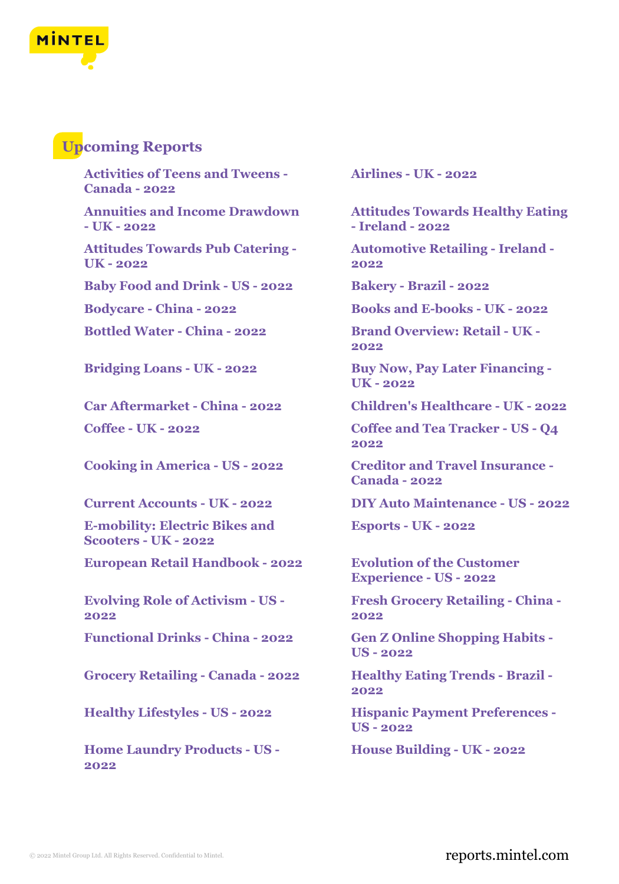

## **Upcoming Reports**

**Activities of Teens and Tweens - Canada - 2022**

**Annuities and Income Drawdown - UK - 2022**

**Attitudes Towards Pub Catering - UK - 2022**

**Baby Food and Drink - US - 2022 Bakery - Brazil - 2022**

**E-mobility: Electric Bikes and Scooters - UK - 2022**

**European Retail Handbook - 2022 Evolution of the Customer**

**Evolving Role of Activism - US - 2022**

**Functional Drinks - China - 2022 Gen Z Online Shopping Habits -**

**Grocery Retailing - Canada - 2022 Healthy Eating Trends - Brazil -**

**Home Laundry Products - US - 2022**

**Airlines - UK - 2022**

**Attitudes Towards Healthy Eating - Ireland - 2022**

**Automotive Retailing - Ireland - 2022**

**Bodycare - China - 2022 Books and E-books - UK - 2022**

**Bottled Water - China - 2022 Brand Overview: Retail - UK - 2022**

**Bridging Loans - UK - 2022 Buy Now, Pay Later Financing - UK - 2022**

**Car Aftermarket - China - 2022 Children's Healthcare - UK - 2022**

**Coffee - UK - 2022 Coffee and Tea Tracker - US - Q4 2022**

**Cooking in America - US - 2022 Creditor and Travel Insurance - Canada - 2022**

**Current Accounts - UK - 2022 DIY Auto Maintenance - US - 2022**

**Esports - UK - 2022**

**Experience - US - 2022**

**Fresh Grocery Retailing - China - 2022**

**US - 2022**

**2022**

**Healthy Lifestyles - US - 2022 Hispanic Payment Preferences - US - 2022**

**House Building - UK - 2022**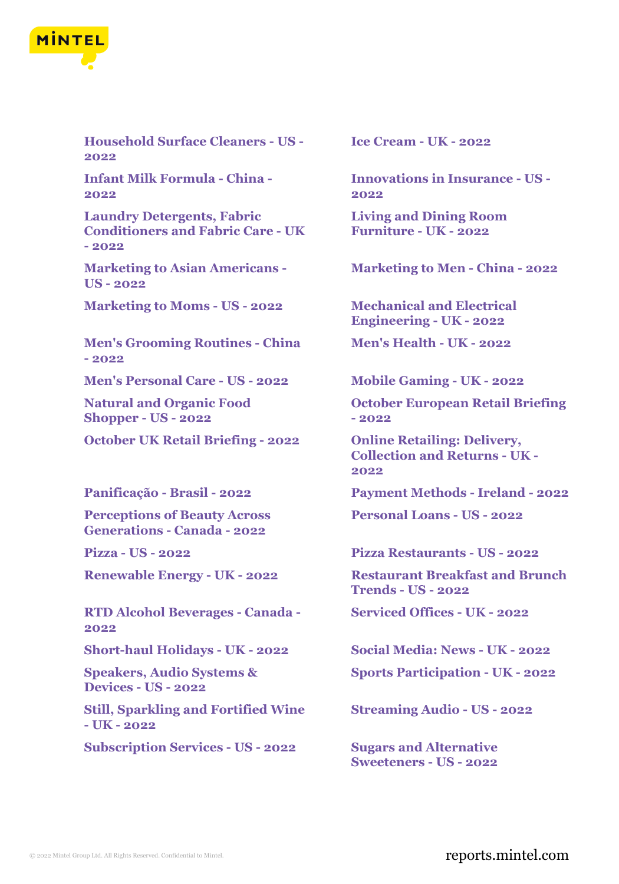

**Household Surface Cleaners - US - 2022**

**Infant Milk Formula - China - 2022**

**Laundry Detergents, Fabric Conditioners and Fabric Care - UK - 2022**

**Marketing to Asian Americans - US - 2022**

**Marketing to Moms - US - 2022 Mechanical and Electrical**

**Men's Grooming Routines - China - 2022**

**Men's Personal Care - US - 2022 Mobile Gaming - UK - 2022**

**Natural and Organic Food Shopper - US - 2022**

**October UK Retail Briefing - 2022 Online Retailing: Delivery,**

**Perceptions of Beauty Across Generations - Canada - 2022**

**RTD Alcohol Beverages - Canada - 2022**

**Speakers, Audio Systems & Devices - US - 2022**

**Still, Sparkling and Fortified Wine - UK - 2022**

**Subscription Services - US - 2022 Sugars and Alternative**

**Ice Cream - UK - 2022**

**Innovations in Insurance - US - 2022**

**Living and Dining Room Furniture - UK - 2022**

**Marketing to Men - China - 2022**

**Engineering - UK - 2022**

**Men's Health - UK - 2022**

**October European Retail Briefing - 2022**

**Collection and Returns - UK - 2022**

**Panificação - Brasil - 2022 Payment Methods - Ireland - 2022**

**Personal Loans - US - 2022**

**Pizza - US - 2022 Pizza Restaurants - US - 2022**

**Renewable Energy - UK - 2022 Restaurant Breakfast and Brunch Trends - US - 2022**

**Serviced Offices - UK - 2022**

**Short-haul Holidays - UK - 2022 Social Media: News - UK - 2022**

**Sports Participation - UK - 2022**

**Streaming Audio - US - 2022**

**Sweeteners - US - 2022**